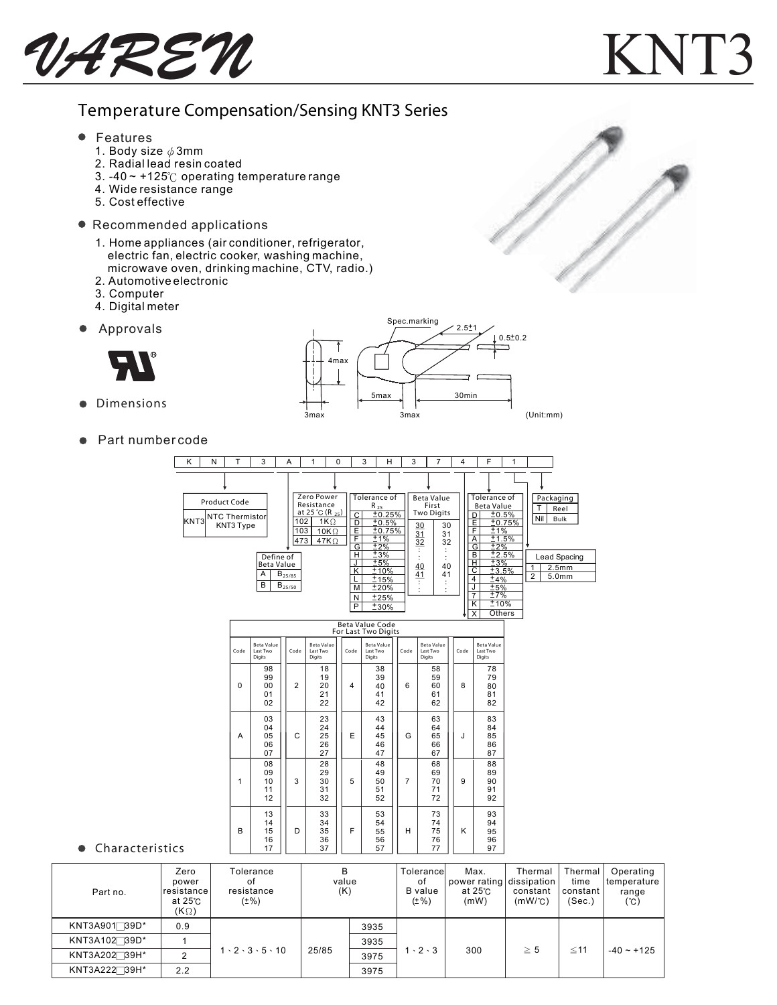UAREN KNT3

## Temperature Compensation/Sensing KNT3 Series

- $\bullet$  Features
	- 1. Body size  $\phi$  3mm
	- 2. Radial lead resin coated
	- 3. -40  $\sim$  +125 $\degree$ C operating temperature range
	- 4. Wide resistance range
	- 5. Cost effective
- Recommended applications
	- 1. Home appliances (air conditioner, refrigerator, electric fan, electric cooker, washing machine, microwave oven, drinking machine, CTV, radio.)
	- 2. Automotive electronic
	- 3. Computer
	- 4. Digital meter
- $\bullet$ Approvals



 Dimensions  $\bullet$ 



● Part number code

| ĸ                                                      | N | Т                                           | 3                                              | Α                                        | 1                                                                                                     | 0                                                                          | 3<br>н                                                                                                                    |      | 3                                  | $\overline{7}$                                       | 4              |                                                                                                                                                                  | F                                                                                                                                                   | 1      |                                                       |                                                                         |
|--------------------------------------------------------|---|---------------------------------------------|------------------------------------------------|------------------------------------------|-------------------------------------------------------------------------------------------------------|----------------------------------------------------------------------------|---------------------------------------------------------------------------------------------------------------------------|------|------------------------------------|------------------------------------------------------|----------------|------------------------------------------------------------------------------------------------------------------------------------------------------------------|-----------------------------------------------------------------------------------------------------------------------------------------------------|--------|-------------------------------------------------------|-------------------------------------------------------------------------|
| KNT3                                                   |   | Product Code<br>NTC Thermistor<br>KNT3 Type | Define of<br>Beta Value<br>A<br>B              | 103<br>473<br>$B_{25/85}$<br>$B_{25/50}$ | Zero Power<br>Resistance<br>at 25 °C (R $_{25}$ )<br>102<br>$1K\Omega$<br>10K $\Omega$<br>$47K\Omega$ | C<br>D<br>長戸<br>G<br>н<br>J<br>$\overline{\mathsf{K}}$<br>L<br>M<br>N<br>P | Tolerance of<br>$R_{25}$<br>±0.25%<br>±0.5%<br>±0.75%<br>±1%<br>±2%<br>13%<br>±5%<br>±10%<br>±15%<br>±20%<br>±25%<br>±30% |      | 30<br>31<br>32<br>40<br>41         | Beta Value<br>First<br><b>Two Digits</b><br>40<br>41 | 30<br>31<br>32 | D<br>Ε<br>F<br>$\overline{\mathsf{A}}$<br>G<br>B<br>$\overline{\mathsf{H}}$<br>$\overline{\text{c}}$<br>4<br>J<br>$\overline{7}$<br>$\overline{\mathsf{k}}$<br>X | Tolerance of<br><b>Beta Value</b><br>±0.5%<br>±1%<br>±1.5%<br>±2%<br>$\frac{+2.5\%}{+2.5\%}$<br>±3%<br>±3.5%<br>±4%<br>±5%<br>±7%<br>110%<br>Others | ±0.75% | т<br>Nil<br>1<br>$\overline{2}$                       | Packaging<br>Reel<br>Bulk<br>Lead Spacing<br>2.5 <sub>mm</sub><br>5.0mm |
|                                                        |   |                                             |                                                |                                          |                                                                                                       |                                                                            | <b>Beta Value Code</b><br>For Last Two Digits                                                                             |      |                                    |                                                      |                |                                                                                                                                                                  |                                                                                                                                                     |        |                                                       |                                                                         |
|                                                        |   | Code                                        | <b>Beta Value</b><br>Last Two<br><b>Digits</b> | Code                                     | <b>Beta Value</b><br>Last Two<br>Digits                                                               | Code                                                                       | <b>Beta Value</b><br>Last Two<br>Digits                                                                                   | Code |                                    | <b>Beta Value</b><br>Last Two<br>Digits              | Code           |                                                                                                                                                                  | <b>Beta Value</b><br>Last Two<br>Digits                                                                                                             |        |                                                       |                                                                         |
|                                                        |   | $\Omega$                                    | 98<br>99<br>00<br>01<br>02                     | 2                                        | 18<br>19<br>20<br>21<br>22                                                                            | 4                                                                          | 38<br>39<br>40<br>41<br>42                                                                                                | 6    |                                    | 58<br>59<br>60<br>61<br>62                           | 8              |                                                                                                                                                                  | 78<br>79<br>80<br>81<br>82                                                                                                                          |        |                                                       |                                                                         |
|                                                        |   | A                                           | 03<br>04<br>05<br>06<br>07                     | C                                        | 23<br>24<br>25<br>26<br>27                                                                            | E                                                                          | 43<br>44<br>45<br>46<br>47                                                                                                | G    |                                    | 63<br>64<br>65<br>66<br>67                           | J              |                                                                                                                                                                  | 83<br>84<br>85<br>86<br>87                                                                                                                          |        |                                                       |                                                                         |
|                                                        |   | 1                                           | 08<br>09<br>10<br>11<br>12                     | 3                                        | 28<br>29<br>30<br>31<br>32                                                                            | 5                                                                          | 48<br>49<br>50<br>51<br>52                                                                                                | 7    |                                    | 68<br>69<br>70<br>71<br>72                           | 9              |                                                                                                                                                                  | 88<br>89<br>90<br>91<br>92                                                                                                                          |        |                                                       |                                                                         |
| tics                                                   |   | B                                           | 13<br>14<br>15<br>16<br>17                     | D                                        | 33<br>34<br>35<br>36<br>37                                                                            | F                                                                          | 53<br>54<br>55<br>56<br>57                                                                                                | н    |                                    | 73<br>74<br>75<br>76<br>77                           | K              |                                                                                                                                                                  | 93<br>94<br>95<br>96<br>97                                                                                                                          |        |                                                       |                                                                         |
| Zero<br>power<br>resistance<br>at 25°C<br>$(K \cap Y)$ |   |                                             | Tolerance<br>of<br>resistance<br>$(\pm\%)$     |                                          |                                                                                                       | В<br>value<br>(K)                                                          |                                                                                                                           |      | оf<br><b>B</b> value<br>$(\pm \%)$ | Tolerancel                                           |                | Max.<br>at 25°C<br>(mW)                                                                                                                                          | power rating                                                                                                                                        |        | Thermal<br>dissipation<br>constant<br>$(mW)^{\circ}C$ | Therma<br>time<br>constant<br>(Sec.)                                    |

 $\bullet$  Characteris

| Part no.                 | Zero<br>power<br>resistance<br>at 25°C<br>$(K \Omega)$ | Tolerance<br>0t<br>resistance<br>$(\pm\%)$ | B<br>value<br>(K) |      | Tolerancel<br>οf<br>B value<br>$(\pm \% )$ | Max.<br>power rating dissipation<br>at 25℃<br>(mW) | Thermal<br>constant<br>(mW/C) | Thermal<br>time<br>constant<br>(Sec.) | Operating<br>temperature<br>range<br>(°C) |
|--------------------------|--------------------------------------------------------|--------------------------------------------|-------------------|------|--------------------------------------------|----------------------------------------------------|-------------------------------|---------------------------------------|-------------------------------------------|
| KNT3A901 <sup>39D*</sup> | 0.9                                                    |                                            | 25/85             | 3935 | $1 \cdot 2 \cdot 3$                        | 300                                                | $\geq 5$                      | $≤11$                                 | $-40 \sim +125$                           |
| KNT3A102 39D*            |                                                        | $1 \cdot 2 \cdot 3 \cdot 5 \cdot 10$       |                   | 3935 |                                            |                                                    |                               |                                       |                                           |
| KNT3A202 39H*            | C                                                      |                                            |                   | 3975 |                                            |                                                    |                               |                                       |                                           |
| KNT3A222739H*            | 2.2                                                    |                                            |                   | 3975 |                                            |                                                    |                               |                                       |                                           |

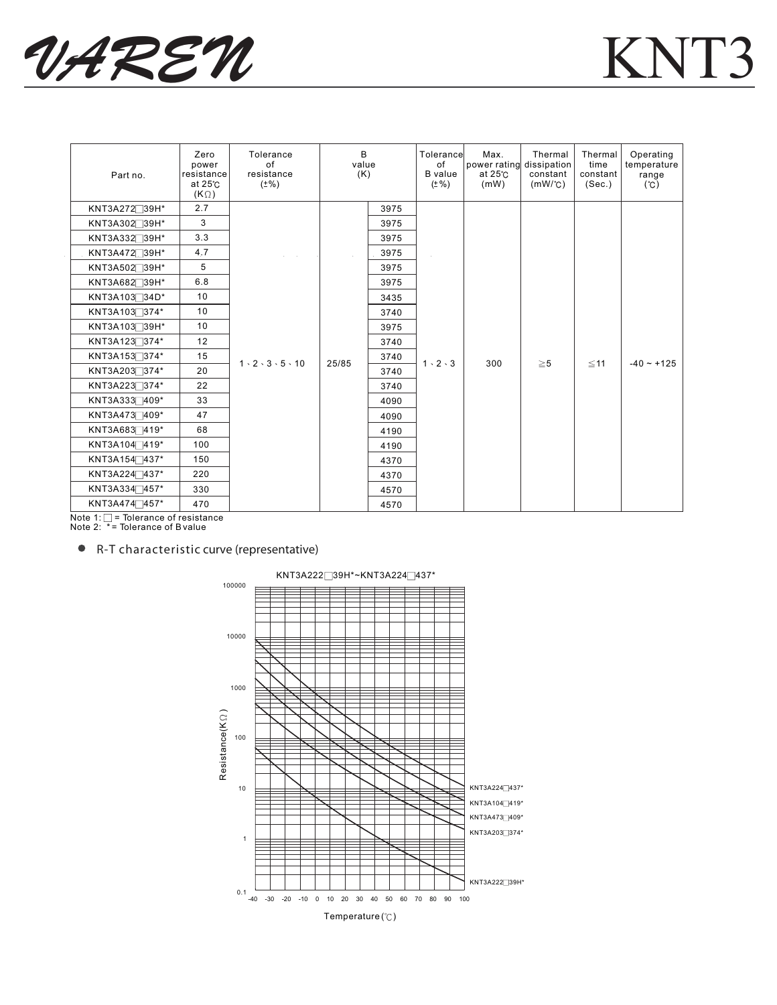

 $\cdot$ 



| Part no.                  | Zero<br>power<br>resistance<br>at $25^\circ$ C<br>$(K \Omega)$ | Tolerance<br>of<br>resistance<br>$(\pm\%)$ | B<br>value<br>(K) |      | Tolerancel<br>of<br><b>B</b> value<br>(± %) | Max.<br>power rating dissipation<br>at 25°C<br>(mW) | Thermal<br>constant<br>$(mW)^{\circ}C$ | Thermal<br>time<br>constant<br>(Sec.) | Operating<br>temperature<br>range<br>(C) |
|---------------------------|----------------------------------------------------------------|--------------------------------------------|-------------------|------|---------------------------------------------|-----------------------------------------------------|----------------------------------------|---------------------------------------|------------------------------------------|
| KNT3A272 <sup>39H*</sup>  | 2.7                                                            |                                            |                   | 3975 |                                             |                                                     | $\geq 5$                               | $\leq$ 11                             | $-40 - +125$                             |
| KNT3A302 <sup>39H*</sup>  | 3                                                              |                                            | 25/85             | 3975 |                                             | 300                                                 |                                        |                                       |                                          |
| KNT3A332 <sup>39H*</sup>  | 3.3                                                            |                                            |                   | 3975 |                                             |                                                     |                                        |                                       |                                          |
| KNT3A472739H*             | 4.7                                                            |                                            |                   | 3975 |                                             |                                                     |                                        |                                       |                                          |
| KNT3A502 <sup>39H*</sup>  | 5                                                              |                                            |                   | 3975 |                                             |                                                     |                                        |                                       |                                          |
| KNT3A682 <sup>39H*</sup>  | 6.8                                                            |                                            |                   | 3975 |                                             |                                                     |                                        |                                       |                                          |
| KNT3A103 <sup>34D*</sup>  | 10                                                             | $1 \cdot 2 \cdot 3 \cdot 5 \cdot 10$       |                   | 3435 |                                             |                                                     |                                        |                                       |                                          |
| KNT3A103 <sup>-374*</sup> | 10                                                             |                                            |                   | 3740 |                                             |                                                     |                                        |                                       |                                          |
| KNT3A103 <sup>39H*</sup>  | 10                                                             |                                            |                   | 3975 |                                             |                                                     |                                        |                                       |                                          |
| KNT3A123 <sup>374*</sup>  | 12                                                             |                                            |                   | 3740 |                                             |                                                     |                                        |                                       |                                          |
| KNT3A1537374*             | 15                                                             |                                            |                   | 3740 | $1 \cdot 2 \cdot 3$                         |                                                     |                                        |                                       |                                          |
| KNT3A203 374*             | 20                                                             |                                            |                   | 3740 |                                             |                                                     |                                        |                                       |                                          |
| KNT3A223 374*             | 22                                                             |                                            |                   | 3740 |                                             |                                                     |                                        |                                       |                                          |
| KNT3A3337409*             | 33                                                             |                                            |                   | 4090 |                                             |                                                     |                                        |                                       |                                          |
| KNT3A473 409*             | 47                                                             |                                            |                   | 4090 |                                             |                                                     |                                        |                                       |                                          |
| KNT3A6837419*             | 68                                                             |                                            |                   | 4190 |                                             |                                                     |                                        |                                       |                                          |
| KNT3A104 <sup>-419*</sup> | 100                                                            |                                            |                   | 4190 |                                             |                                                     |                                        |                                       |                                          |
| KNT3A154 <sup>437*</sup>  | 150                                                            |                                            |                   | 4370 |                                             |                                                     |                                        |                                       |                                          |
| KNT3A224 <sup>437*</sup>  | 220                                                            |                                            |                   | 4370 |                                             |                                                     |                                        |                                       |                                          |
| KNT3A334 <sup>457*</sup>  | 330                                                            |                                            |                   | 4570 |                                             |                                                     |                                        |                                       |                                          |
| KNT3A474 <sup>457*</sup>  | 470                                                            |                                            |                   | 4570 |                                             |                                                     |                                        |                                       |                                          |

Note 1: = Tolerance of resistance Note 2: \* = Tolerance of B value

 $\bullet$ R-T characteristic curve (representative)